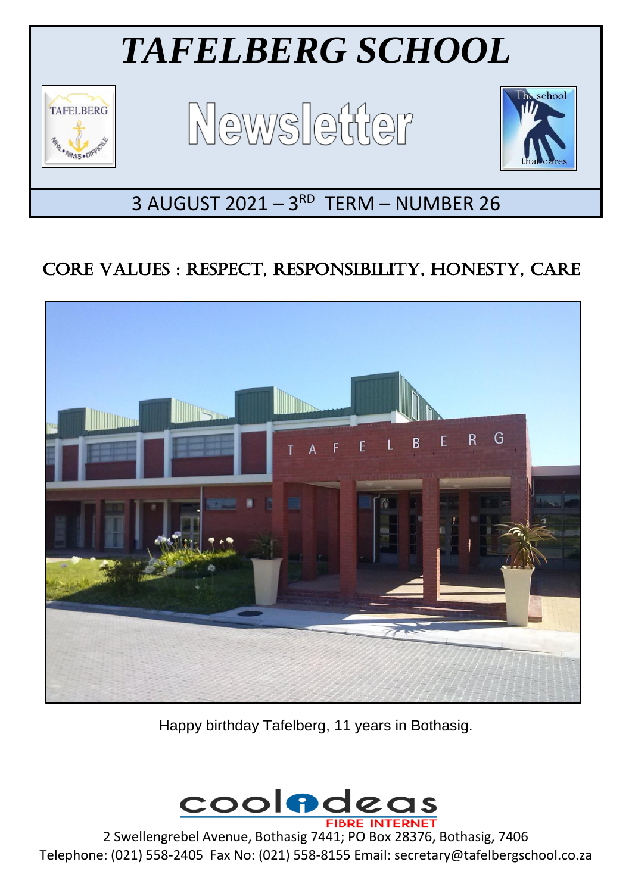

## CORE VALUES : RESPECT, RESPONSIBILITY, HONESTY, CARE



Happy birthday Tafelberg, 11 years in Bothasig.



2 Swellengrebel Avenue, Bothasig 7441; PO Box 28376, Bothasig, 7406 Telephone: (021) 558-2405 Fax No: (021) 558-8155 Email: secretary@tafelbergschool.co.za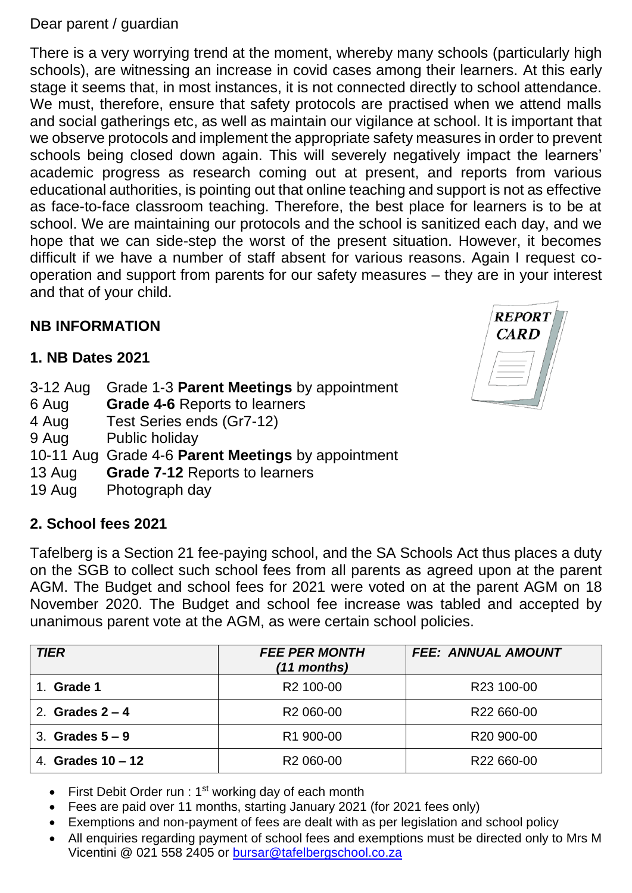#### Dear parent / guardian

There is a very worrying trend at the moment, whereby many schools (particularly high schools), are witnessing an increase in covid cases among their learners. At this early stage it seems that, in most instances, it is not connected directly to school attendance. We must, therefore, ensure that safety protocols are practised when we attend malls and social gatherings etc, as well as maintain our vigilance at school. It is important that we observe protocols and implement the appropriate safety measures in order to prevent schools being closed down again. This will severely negatively impact the learners' academic progress as research coming out at present, and reports from various educational authorities, is pointing out that online teaching and support is not as effective as face-to-face classroom teaching. Therefore, the best place for learners is to be at school. We are maintaining our protocols and the school is sanitized each day, and we hope that we can side-step the worst of the present situation. However, it becomes difficult if we have a number of staff absent for various reasons. Again I request cooperation and support from parents for our safety measures – they are in your interest and that of your child.

## **NB INFORMATION**

## **1. NB Dates 2021**

- 3-12 Aug Grade 1-3 **Parent Meetings** by appointment
- 6 Aug **Grade 4-6** Reports to learners
- 4 Aug Test Series ends (Gr7-12)
- 9 Aug Public holiday
- 10-11 Aug Grade 4-6 **Parent Meetings** by appointment
- 13 Aug **Grade 7-12** Reports to learners
- 19 Aug Photograph day

### **2. School fees 2021**

Tafelberg is a Section 21 fee-paying school, and the SA Schools Act thus places a duty on the SGB to collect such school fees from all parents as agreed upon at the parent AGM. The Budget and school fees for 2021 were voted on at the parent AGM on 18 November 2020. The Budget and school fee increase was tabled and accepted by unanimous parent vote at the AGM, as were certain school policies.

| <b>TIER</b>         | <b>FEE PER MONTH</b><br>(11 months) | <b>FEE: ANNUAL AMOUNT</b> |
|---------------------|-------------------------------------|---------------------------|
| Grade 1             | R <sub>2</sub> 100-00               | R23 100-00                |
| 2. Grades $2 - 4$   | R <sub>2</sub> 060-00               | R22 660-00                |
| 3. Grades $5-9$     | R1 900-00                           | R <sub>20</sub> 900-00    |
| 4. Grades $10 - 12$ | R <sub>2</sub> 060-00               | R <sub>22</sub> 660-00    |

- First Debit Order run :  $1<sup>st</sup>$  working day of each month
- Fees are paid over 11 months, starting January 2021 (for 2021 fees only)
- Exemptions and non-payment of fees are dealt with as per legislation and school policy
- All enquiries regarding payment of school fees and exemptions must be directed only to Mrs M Vicentini @ 021 558 2405 or [bursar@tafelbergschool.co.za](mailto:bursar@tafelbergschool.co.za)

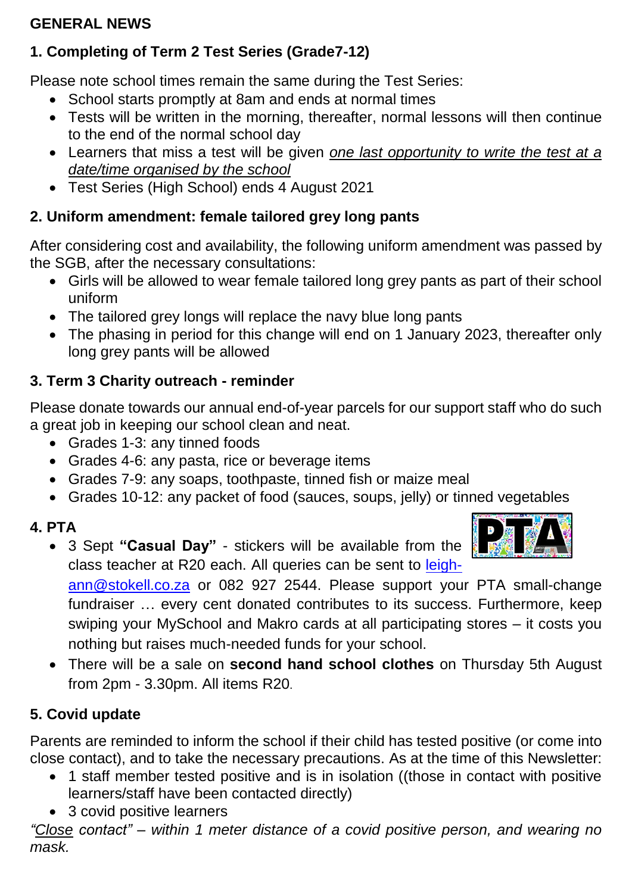## **GENERAL NEWS**

## **1. Completing of Term 2 Test Series (Grade7-12)**

Please note school times remain the same during the Test Series:

- School starts promptly at 8am and ends at normal times
- Tests will be written in the morning, thereafter, normal lessons will then continue to the end of the normal school day
- Learners that miss a test will be given *one last opportunity to write the test at a date/time organised by the school*
- Test Series (High School) ends 4 August 2021

## **2. Uniform amendment: female tailored grey long pants**

After considering cost and availability, the following uniform amendment was passed by the SGB, after the necessary consultations:

- Girls will be allowed to wear female tailored long grey pants as part of their school uniform
- The tailored grey longs will replace the navy blue long pants
- The phasing in period for this change will end on 1 January 2023, thereafter only long grey pants will be allowed

## **3. Term 3 Charity outreach - reminder**

Please donate towards our annual end-of-year parcels for our support staff who do such a great job in keeping our school clean and neat.

- Grades 1-3: any tinned foods
- Grades 4-6: any pasta, rice or beverage items
- Grades 7-9: any soaps, toothpaste, tinned fish or maize meal
- Grades 10-12: any packet of food (sauces, soups, jelly) or tinned vegetables

## **4. PTA**

 3 Sept **"Casual Day"** - stickers will be available from the class teacher at R20 each. All queries can be sent to [leigh-](mailto:leigh-ann@stokell.co.za)



[ann@stokell.co.za](mailto:leigh-ann@stokell.co.za) or 082 927 2544. Please support your PTA small-change fundraiser … every cent donated contributes to its success. Furthermore, keep swiping your MySchool and Makro cards at all participating stores – it costs you nothing but raises much-needed funds for your school.

 There will be a sale on **second hand school clothes** on Thursday 5th August from 2pm - 3.30pm. All items R20.

## **5. Covid update**

Parents are reminded to inform the school if their child has tested positive (or come into close contact), and to take the necessary precautions. As at the time of this Newsletter:

- 1 staff member tested positive and is in isolation ((those in contact with positive learners/staff have been contacted directly)
- 3 covid positive learners

*"Close contact" – within 1 meter distance of a covid positive person, and wearing no mask.*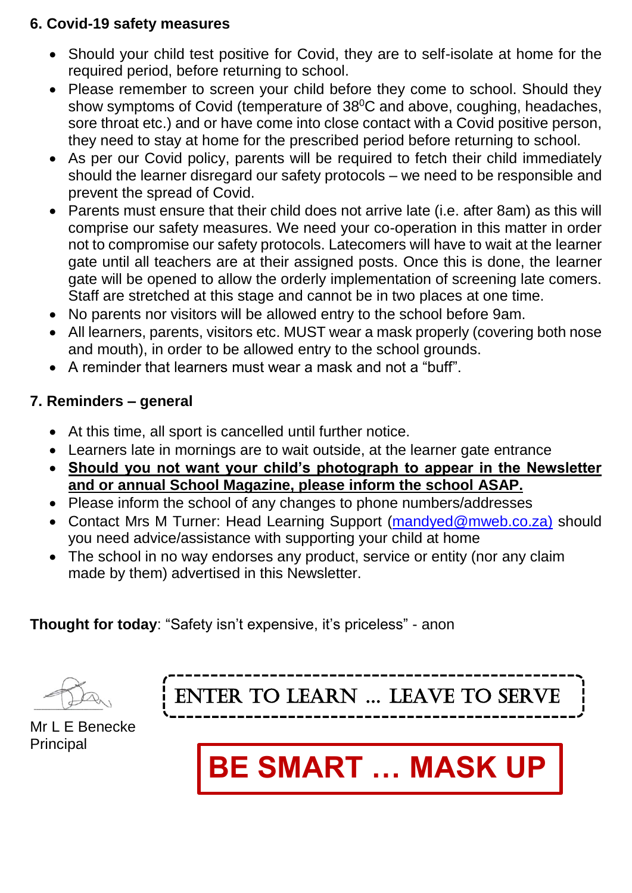#### **6. Covid-19 safety measures**

- Should your child test positive for Covid, they are to self-isolate at home for the required period, before returning to school.
- Please remember to screen your child before they come to school. Should they show symptoms of Covid (temperature of 38<sup>°</sup>C and above, coughing, headaches, sore throat etc.) and or have come into close contact with a Covid positive person, they need to stay at home for the prescribed period before returning to school.
- As per our Covid policy, parents will be required to fetch their child immediately should the learner disregard our safety protocols – we need to be responsible and prevent the spread of Covid.
- Parents must ensure that their child does not arrive late (i.e. after 8am) as this will comprise our safety measures. We need your co-operation in this matter in order not to compromise our safety protocols. Latecomers will have to wait at the learner gate until all teachers are at their assigned posts. Once this is done, the learner gate will be opened to allow the orderly implementation of screening late comers. Staff are stretched at this stage and cannot be in two places at one time.
- No parents nor visitors will be allowed entry to the school before 9am.
- All learners, parents, visitors etc. MUST wear a mask properly (covering both nose and mouth), in order to be allowed entry to the school grounds.
- A reminder that learners must wear a mask and not a "buff".

#### **7. Reminders – general**

- At this time, all sport is cancelled until further notice.
- Learners late in mornings are to wait outside, at the learner gate entrance
- **Should you not want your child's photograph to appear in the Newsletter and or annual School Magazine, please inform the school ASAP.**
- Please inform the school of any changes to phone numbers/addresses
- Contact Mrs M Turner: Head Learning Support [\(mandyed@mweb.co.za\)](mailto:mandyed@mweb.co.za)%20should) should you need advice/assistance with supporting your child at home
- The school in no way endorses any product, service or entity (nor any claim made by them) advertised in this Newsletter.

## **Thought for today**: "Safety isn't expensive, it's priceless" - anon



ENTER TO LEARN … LEAVE TO SERVE

Mr L E Benecke **Principal**